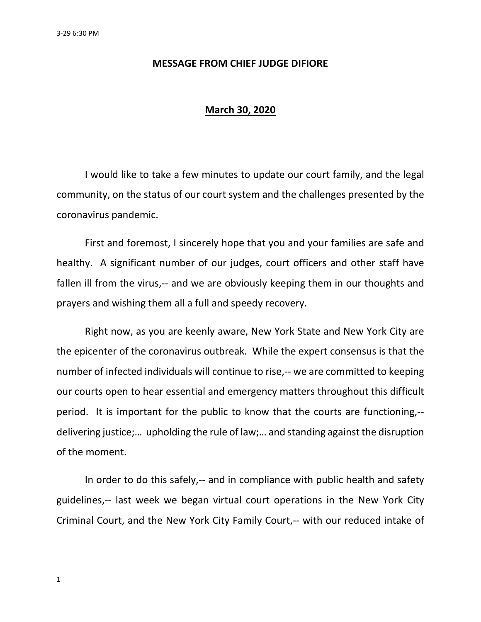## **MESSAGE FROM CHIEF JUDGE DIFIORE**

## **March 30, 2020**

I would like to take a few minutes to update our court family, and the legal community, on the status of our court system and the challenges presented by the coronavirus pandemic.

First and foremost, I sincerely hope that you and your families are safe and healthy. A significant number of our judges, court officers and other staff have fallen ill from the virus,-- and we are obviously keeping them in our thoughts and prayers and wishing them all a full and speedy recovery.

Right now, as you are keenly aware, New York State and New York City are the epicenter of the coronavirus outbreak. While the expert consensus is that the number of infected individuals will continue to rise,-- we are committed to keeping our courts open to hear essential and emergency matters throughout this difficult period. It is important for the public to know that the courts are functioning,- delivering justice;… upholding the rule of law;… and standing against the disruption of the moment.

In order to do this safely,-- and in compliance with public health and safety guidelines,-- last week we began virtual court operations in the New York City Criminal Court, and the New York City Family Court,-- with our reduced intake of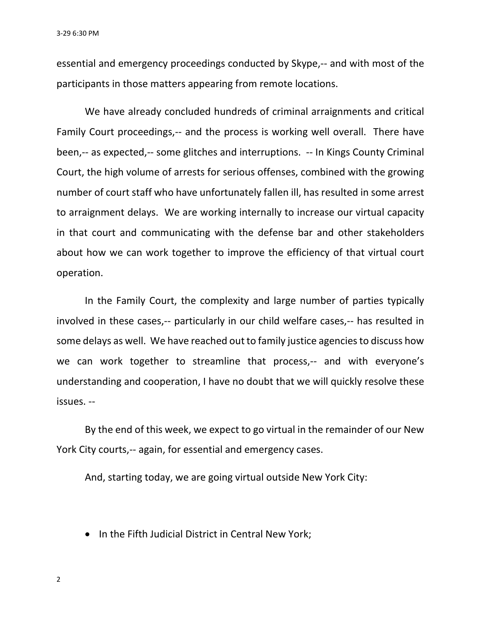3-29 6:30 PM

essential and emergency proceedings conducted by Skype,-- and with most of the participants in those matters appearing from remote locations.

We have already concluded hundreds of criminal arraignments and critical Family Court proceedings,-- and the process is working well overall. There have been,-- as expected,-- some glitches and interruptions. -- In Kings County Criminal Court, the high volume of arrests for serious offenses, combined with the growing number of court staff who have unfortunately fallen ill, has resulted in some arrest to arraignment delays. We are working internally to increase our virtual capacity in that court and communicating with the defense bar and other stakeholders about how we can work together to improve the efficiency of that virtual court operation.

In the Family Court, the complexity and large number of parties typically involved in these cases,-- particularly in our child welfare cases,-- has resulted in some delays as well. We have reached out to family justice agencies to discuss how we can work together to streamline that process,-- and with everyone's understanding and cooperation, I have no doubt that we will quickly resolve these issues. --

By the end of this week, we expect to go virtual in the remainder of our New York City courts,-- again, for essential and emergency cases.

And, starting today, we are going virtual outside New York City:

• In the Fifth Judicial District in Central New York;

2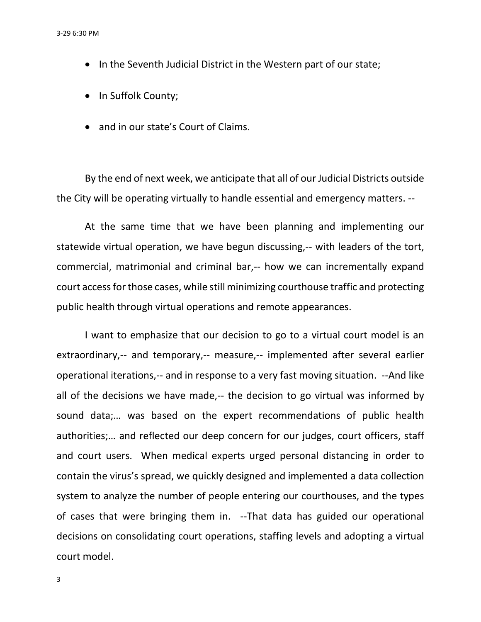- In the Seventh Judicial District in the Western part of our state;
- In Suffolk County;
- and in our state's Court of Claims.

By the end of next week, we anticipate that all of our Judicial Districts outside the City will be operating virtually to handle essential and emergency matters. --

At the same time that we have been planning and implementing our statewide virtual operation, we have begun discussing,-- with leaders of the tort, commercial, matrimonial and criminal bar,-- how we can incrementally expand court accessfor those cases, while still minimizing courthouse traffic and protecting public health through virtual operations and remote appearances.

I want to emphasize that our decision to go to a virtual court model is an extraordinary,-- and temporary,-- measure,-- implemented after several earlier operational iterations,-- and in response to a very fast moving situation. --And like all of the decisions we have made,-- the decision to go virtual was informed by sound data;… was based on the expert recommendations of public health authorities;… and reflected our deep concern for our judges, court officers, staff and court users. When medical experts urged personal distancing in order to contain the virus's spread, we quickly designed and implemented a data collection system to analyze the number of people entering our courthouses, and the types of cases that were bringing them in. --That data has guided our operational decisions on consolidating court operations, staffing levels and adopting a virtual court model.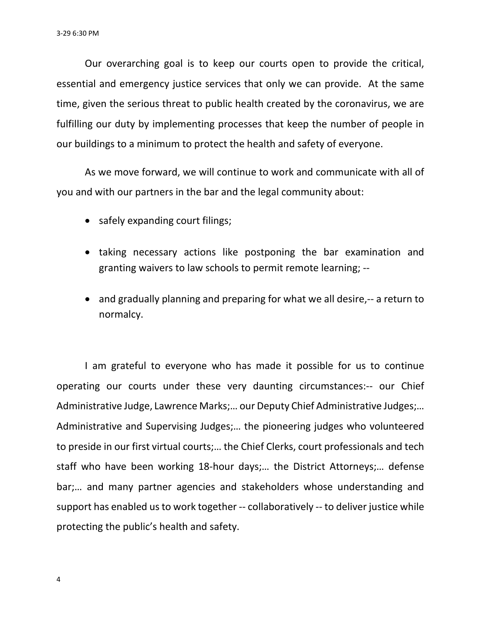Our overarching goal is to keep our courts open to provide the critical, essential and emergency justice services that only we can provide. At the same time, given the serious threat to public health created by the coronavirus, we are fulfilling our duty by implementing processes that keep the number of people in our buildings to a minimum to protect the health and safety of everyone.

As we move forward, we will continue to work and communicate with all of you and with our partners in the bar and the legal community about:

- safely expanding court filings;
- taking necessary actions like postponing the bar examination and granting waivers to law schools to permit remote learning; --
- and gradually planning and preparing for what we all desire,-- a return to normalcy.

I am grateful to everyone who has made it possible for us to continue operating our courts under these very daunting circumstances:-- our Chief Administrative Judge, Lawrence Marks;… our Deputy Chief Administrative Judges;… Administrative and Supervising Judges;… the pioneering judges who volunteered to preside in our first virtual courts;… the Chief Clerks, court professionals and tech staff who have been working 18-hour days;… the District Attorneys;… defense bar;… and many partner agencies and stakeholders whose understanding and support has enabled us to work together -- collaboratively -- to deliver justice while protecting the public's health and safety.